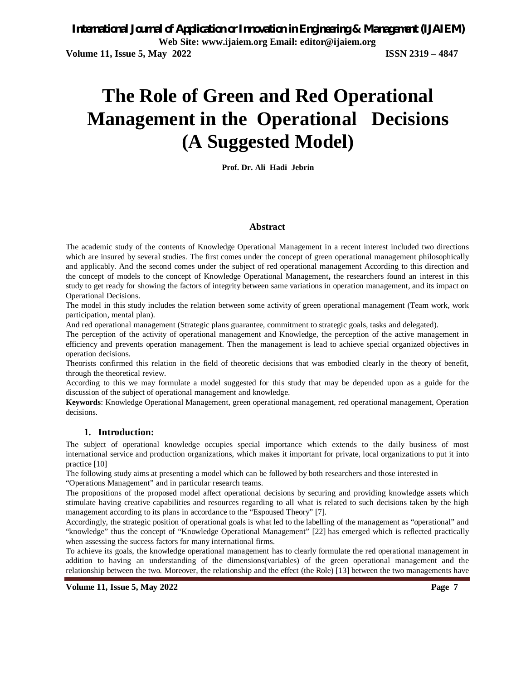# **The Role of Green and Red Operational Management in the Operational Decisions (A Suggested Model)**

**Prof. Dr. Ali Hadi Jebrin**

#### **Abstract**

The academic study of the contents of Knowledge Operational Management in a recent interest included two directions which are insured by several studies. The first comes under the concept of green operational management philosophically and applicably. And the second comes under the subject of red operational management According to this direction and the concept of models to the concept of Knowledge Operational Management**,** the researchers found an interest in this study to get ready for showing the factors of integrity between same variations in operation management, and its impact on Operational Decisions.

The model in this study includes the relation between some activity of green operational management (Team work, work participation, mental plan).

And red operational management (Strategic plans guarantee, commitment to strategic goals, tasks and delegated).

The perception of the activity of operational management and Knowledge, the perception of the active management in efficiency and prevents operation management. Then the management is lead to achieve special organized objectives in operation decisions.

Theorists confirmed this relation in the field of theoretic decisions that was embodied clearly in the theory of benefit, through the theoretical review.

According to this we may formulate a model suggested for this study that may be depended upon as a guide for the discussion of the subject of operational management and knowledge.

**Keywords**: Knowledge Operational Management, green operational management, red operational management, Operation decisions.

#### **1. Introduction:**

The subject of operational knowledge occupies special importance which extends to the daily business of most international service and production organizations, which makes it important for private, local organizations to put it into practice [10].

The following study aims at presenting a model which can be followed by both researchers and those interested in "Operations Management" and in particular research teams.

The propositions of the proposed model affect operational decisions by securing and providing knowledge assets which stimulate having creative capabilities and resources regarding to all what is related to such decisions taken by the high management according to its plans in accordance to the "Espoused Theory" [7].

Accordingly, the strategic position of operational goals is what led to the labelling of the management as "operational" and "knowledge" thus the concept of "Knowledge Operational Management" [22] has emerged which is reflected practically when assessing the success factors for many international firms.

To achieve its goals, the knowledge operational management has to clearly formulate the red operational management in addition to having an understanding of the dimensions(variables) of the green operational management and the relationship between the two. Moreover, the relationship and the effect (the Role) [13] between the two managements have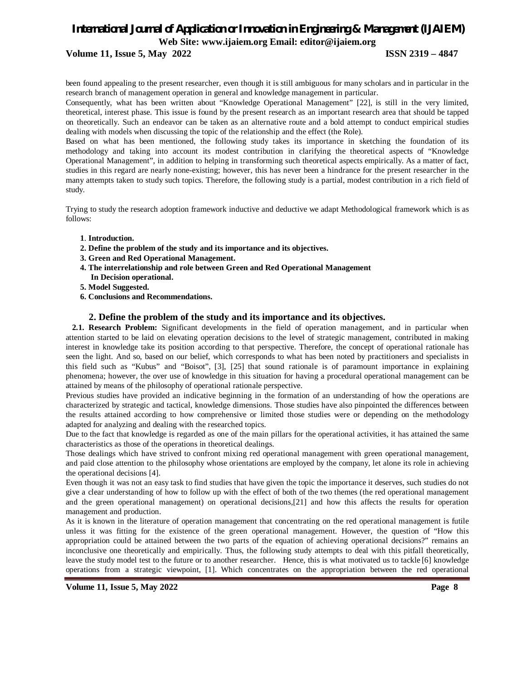## **Volume 11, Issue 5, May 2022 ISSN 2319 – 4847**

been found appealing to the present researcher, even though it is still ambiguous for many scholars and in particular in the research branch of management operation in general and knowledge management in particular.

Consequently, what has been written about "Knowledge Operational Management" [22], is still in the very limited, theoretical, interest phase. This issue is found by the present research as an important research area that should be tapped on theoretically. Such an endeavor can be taken as an alternative route and a bold attempt to conduct empirical studies dealing with models when discussing the topic of the relationship and the effect (the Role).

Based on what has been mentioned, the following study takes its importance in sketching the foundation of its methodology and taking into account its modest contribution in clarifying the theoretical aspects of "Knowledge Operational Management", in addition to helping in transforming such theoretical aspects empirically. As a matter of fact, studies in this regard are nearly none-existing; however, this has never been a hindrance for the present researcher in the many attempts taken to study such topics. Therefore, the following study is a partial, modest contribution in a rich field of study.

Trying to study the research adoption framework inductive and deductive we adapt Methodological framework which is as follows:

- **1**. **Introduction.**
- **2. Define the problem of the study and its importance and its objectives.**
- **3. Green and Red Operational Management.**
- **4. The interrelationship and role between Green and Red Operational Management In Decision operational.**
- **5. Model Suggested.**
- **6. Conclusions and Recommendations.**

#### **2. Define the problem of the study and its importance and its objectives.**

 **2.1. Research Problem:** Significant developments in the field of operation management, and in particular when attention started to be laid on elevating operation decisions to the level of strategic management, contributed in making interest in knowledge take its position according to that perspective. Therefore, the concept of operational rationale has seen the light. And so, based on our belief, which corresponds to what has been noted by practitioners and specialists in this field such as "Kubus" and "Boisot", [3], [25] that sound rationale is of paramount importance in explaining phenomena; however, the over use of knowledge in this situation for having a procedural operational management can be attained by means of the philosophy of operational rationale perspective.

Previous studies have provided an indicative beginning in the formation of an understanding of how the operations are characterized by strategic and tactical, knowledge dimensions. Those studies have also pinpointed the differences between the results attained according to how comprehensive or limited those studies were or depending on the methodology adapted for analyzing and dealing with the researched topics.

Due to the fact that knowledge is regarded as one of the main pillars for the operational activities, it has attained the same characteristics as those of the operations in theoretical dealings.

Those dealings which have strived to confront mixing red operational management with green operational management, and paid close attention to the philosophy whose orientations are employed by the company, let alone its role in achieving the operational decisions [4].

Even though it was not an easy task to find studies that have given the topic the importance it deserves, such studies do not give a clear understanding of how to follow up with the effect of both of the two themes (the red operational management and the green operational management) on operational decisions,[21] and how this affects the results for operation management and production.

As it is known in the literature of operation management that concentrating on the red operational management is futile unless it was fitting for the existence of the green operational management. However, the question of "How this appropriation could be attained between the two parts of the equation of achieving operational decisions?" remains an inconclusive one theoretically and empirically. Thus, the following study attempts to deal with this pitfall theoretically, leave the study model test to the future or to another researcher. Hence, this is what motivated us to tackle [6] knowledge operations from a strategic viewpoint, [1]. Which concentrates on the appropriation between the red operational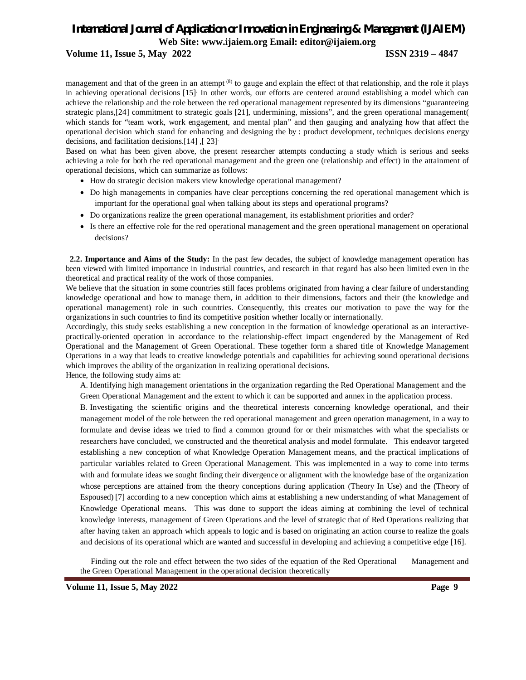### **Volume 11, Issue 5, May 2022 ISSN 2319 – 4847**

management and that of the green in an attempt <sup>(8)</sup> to gauge and explain the effect of that relationship, and the role it plays in achieving operational decisions [15] . In other words, our efforts are centered around establishing a model which can achieve the relationship and the role between the red operational management represented by its dimensions "guaranteeing strategic plans,[24] commitment to strategic goals [21], undermining, missions", and the green operational management( which stands for "team work, work engagement, and mental plan" and then gauging and analyzing how that affect the operational decision which stand for enhancing and designing the by : product development, techniques decisions energy decisions, and facilitation decisions.[14] ,[ 23] .

Based on what has been given above, the present researcher attempts conducting a study which is serious and seeks achieving a role for both the red operational management and the green one (relationship and effect) in the attainment of operational decisions, which can summarize as follows:

- How do strategic decision makers view knowledge operational management?
- Do high managements in companies have clear perceptions concerning the red operational management which is important for the operational goal when talking about its steps and operational programs?
- Do organizations realize the green operational management, its establishment priorities and order?
- Is there an effective role for the red operational management and the green operational management on operational decisions?

**2.2. Importance and Aims of the Study:** In the past few decades, the subject of knowledge management operation has been viewed with limited importance in industrial countries, and research in that regard has also been limited even in the theoretical and practical reality of the work of those companies.

We believe that the situation in some countries still faces problems originated from having a clear failure of understanding knowledge operational and how to manage them, in addition to their dimensions, factors and their (the knowledge and operational management) role in such countries. Consequently, this creates our motivation to pave the way for the organizations in such countries to find its competitive position whether locally or internationally.

Accordingly, this study seeks establishing a new conception in the formation of knowledge operational as an interactivepractically-oriented operation in accordance to the relationship-effect impact engendered by the Management of Red Operational and the Management of Green Operational. These together form a shared title of Knowledge Management Operations in a way that leads to creative knowledge potentials and capabilities for achieving sound operational decisions which improves the ability of the organization in realizing operational decisions.

Hence, the following study aims at:

A. Identifying high management orientations in the organization regarding the Red Operational Management and the Green Operational Management and the extent to which it can be supported and annex in the application process.

B. Investigating the scientific origins and the theoretical interests concerning knowledge operational, and their management model of the role between the red operational management and green operation management, in a way to formulate and devise ideas we tried to find a common ground for or their mismatches with what the specialists or researchers have concluded, we constructed and the theoretical analysis and model formulate. This endeavor targeted establishing a new conception of what Knowledge Operation Management means, and the practical implications of particular variables related to Green Operational Management. This was implemented in a way to come into terms with and formulate ideas we sought finding their divergence or alignment with the knowledge base of the organization whose perceptions are attained from the theory conceptions during application (Theory In Use) and the (Theory of Espoused) [7] according to a new conception which aims at establishing a new understanding of what Management of Knowledge Operational means. This was done to support the ideas aiming at combining the level of technical knowledge interests, management of Green Operations and the level of strategic that of Red Operations realizing that after having taken an approach which appeals to logic and is based on originating an action course to realize the goals and decisions of its operational which are wanted and successful in developing and achieving a competitive edge [16].

 Finding out the role and effect between the two sides of the equation of the Red Operational Management and the Green Operational Management in the operational decision theoretically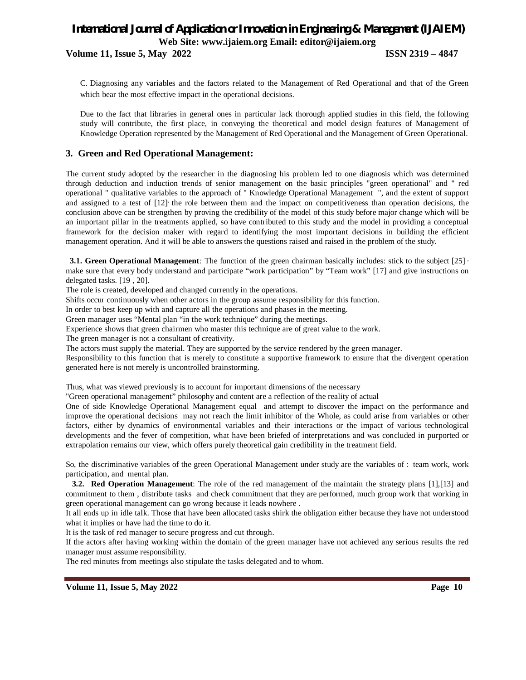**Volume 11, Issue 5, May 2022 ISSN 2319 – 4847**

C. Diagnosing any variables and the factors related to the Management of Red Operational and that of the Green which bear the most effective impact in the operational decisions.

Due to the fact that libraries in general ones in particular lack thorough applied studies in this field, the following study will contribute, the first place, in conveying the theoretical and model design features of Management of Knowledge Operation represented by the Management of Red Operational and the Management of Green Operational.

# **3. Green and Red Operational Management:**

The current study adopted by the researcher in the diagnosing his problem led to one diagnosis which was determined through deduction and induction trends of senior management on the basic principles "green operational" and " red operational " qualitative variables to the approach of " Knowledge Operational Management ", and the extent of support and assigned to a test of [12] the role between them and the impact on competitiveness than operation decisions, the conclusion above can be strengthen by proving the credibility of the model of this study before major change which will be an important pillar in the treatments applied, so have contributed to this study and the model in providing a conceptual framework for the decision maker with regard to identifying the most important decisions in building the efficient management operation. And it will be able to answers the questions raised and raised in the problem of the study.

**3.1. Green Operational Management**: The function of the green chairman basically includes: stick to the subject [25]  $\cdot$ make sure that every body understand and participate "work participation" by "Team work" [17] and give instructions on delegated tasks. [19 , 20].

The role is created, developed and changed currently in the operations.

Shifts occur continuously when other actors in the group assume responsibility for this function.

In order to best keep up with and capture all the operations and phases in the meeting.

Green manager uses "Mental plan "in the work technique" during the meetings.

Experience shows that green chairmen who master this technique are of great value to the work.

The green manager is not a consultant of creativity.

The actors must supply the material. They are supported by the service rendered by the green manager.

Responsibility to this function that is merely to constitute a supportive framework to ensure that the divergent operation generated here is not merely is uncontrolled brainstorming.

Thus, what was viewed previously is to account for important dimensions of the necessary

"Green operational management" philosophy and content are a reflection of the reality of actual

One of side Knowledge Operational Management equal and attempt to discover the impact on the performance and improve the operational decisions may not reach the limit inhibitor of the Whole, as could arise from variables or other factors, either by dynamics of environmental variables and their interactions or the impact of various technological developments and the fever of competition, what have been briefed of interpretations and was concluded in purported or extrapolation remains our view, which offers purely theoretical gain credibility in the treatment field.

So, the discriminative variables of the green Operational Management under study are the variables of : team work, work participation, and mental plan.

**3.2. Red Operation Management**: The role of the red management of the maintain the strategy plans [1],[13] and commitment to them , distribute tasks and check commitment that they are performed, much group work that working in green operational management can go wrong because it leads nowhere .

It all ends up in idle talk. Those that have been allocated tasks shirk the obligation either because they have not understood what it implies or have had the time to do it.

It is the task of red manager to secure progress and cut through.

If the actors after having working within the domain of the green manager have not achieved any serious results the red manager must assume responsibility.

The red minutes from meetings also stipulate the tasks delegated and to whom.

**Volume 11, Issue 5, May 2022 Page 10**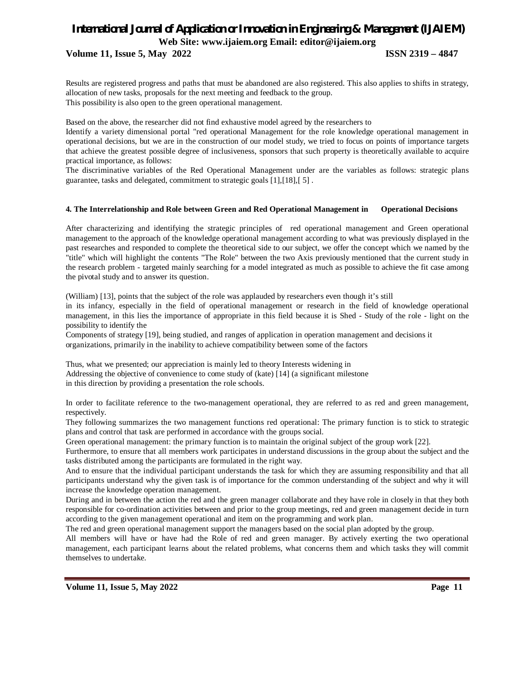# **Volume 11, Issue 5, May 2022 ISSN 2319 – 4847**

Results are registered progress and paths that must be abandoned are also registered. This also applies to shifts in strategy, allocation of new tasks, proposals for the next meeting and feedback to the group. This possibility is also open to the green operational management.

Based on the above, the researcher did not find exhaustive model agreed by the researchers to

Identify a variety dimensional portal "red operational Management for the role knowledge operational management in operational decisions, but we are in the construction of our model study, we tried to focus on points of importance targets that achieve the greatest possible degree of inclusiveness, sponsors that such property is theoretically available to acquire practical importance, as follows:

The discriminative variables of the Red Operational Management under are the variables as follows: strategic plans guarantee, tasks and delegated, commitment to strategic goals [1],[18],[ 5] .

# **4. The Interrelationship and Role between Green and Red Operational Management in Operational Decisions**

After characterizing and identifying the strategic principles of red operational management and Green operational management to the approach of the knowledge operational management according to what was previously displayed in the past researches and responded to complete the theoretical side to our subject, we offer the concept which we named by the "title" which will highlight the contents "The Role" between the two Axis previously mentioned that the current study in the research problem - targeted mainly searching for a model integrated as much as possible to achieve the fit case among the pivotal study and to answer its question.

(William) [13], points that the subject of the role was applauded by researchers even though it's still

in its infancy, especially in the field of operational management or research in the field of knowledge operational management, in this lies the importance of appropriate in this field because it is Shed - Study of the role - light on the possibility to identify the

Components of strategy [19], being studied, and ranges of application in operation management and decisions it organizations, primarily in the inability to achieve compatibility between some of the factors

Thus, what we presented; our appreciation is mainly led to theory Interests widening in Addressing the objective of convenience to come study of (kate) [14] (a significant milestone in this direction by providing a presentation the role schools.

In order to facilitate reference to the two-management operational, they are referred to as red and green management, respectively.

They following summarizes the two management functions red operational: The primary function is to stick to strategic plans and control that task are performed in accordance with the groups social.

Green operational management: the primary function is to maintain the original subject of the group work [22].

Furthermore, to ensure that all members work participates in understand discussions in the group about the subject and the tasks distributed among the participants are formulated in the right way.

And to ensure that the individual participant understands the task for which they are assuming responsibility and that all participants understand why the given task is of importance for the common understanding of the subject and why it will increase the knowledge operation management.

During and in between the action the red and the green manager collaborate and they have role in closely in that they both responsible for co-ordination activities between and prior to the group meetings, red and green management decide in turn according to the given management operational and item on the programming and work plan.

The red and green operational management support the managers based on the social plan adopted by the group.

All members will have or have had the Role of red and green manager. By actively exerting the two operational management, each participant learns about the related problems, what concerns them and which tasks they will commit themselves to undertake.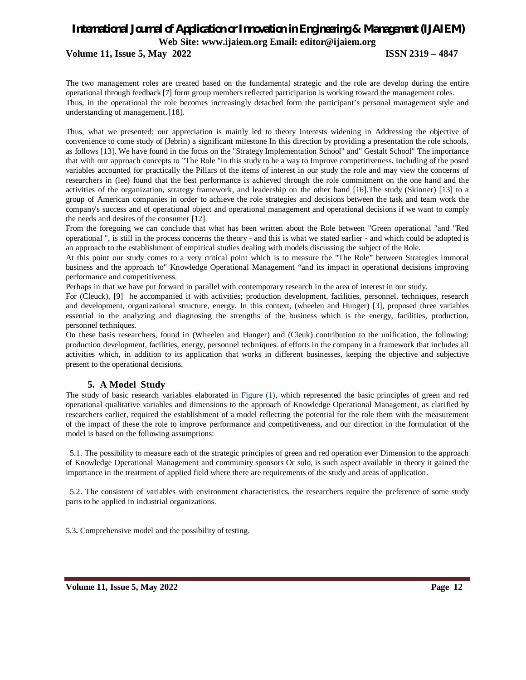# *International Journal of Application or Innovation in Engineering & Management (IJAIEM)* **Web Site: www.ijaiem.org Email: editor@ijaiem.org Volume 11, Issue 5, May 2022 ISSN 2319 – 4847**

The two management roles are created based on the fundamental strategic and the role are develop during the entire operational through feedback [7] form group members reflected participation is working toward the management roles. Thus, in the operational the role becomes increasingly detached form the participant's personal management style and understanding of management. [18].

Thus, what we presented; our appreciation is mainly led to theory Interests widening in Addressing the objective of convenience to come study of (Jebrin) a significant milestone In this direction by providing a presentation the role schools, as follows [13]. We have found in the focus on the "Strategy Implementation School" and" Gestalt School" The importance that with our approach concepts to "The Role "in this study to be a way to Improve competitiveness. Including of the posed variables accounted for practically the Pillars of the items of interest in our study the role and may view the concerns of researchers in (lee) found that the best performance is achieved through the role commitment on the one hand and the activities of the organization, strategy framework, and leadership on the other hand [16].The study (Skinner) [13] to a group of American companies in order to achieve the role strategies and decisions between the task and team work the company's success and of operational object and operational management and operational decisions if we want to comply the needs and desires of the consumer [12].

From the foregoing we can conclude that what has been written about the Role between "Green operational "and "Red operational ", is still in the process concerns the theory - and this is what we stated earlier - and which could be adopted is an approach to the establishment of empirical studies dealing with models discussing the subject of the Role.

At this point our study comes to a very critical point which is to measure the "The Role" between Strategies immoral business and the approach to" Knowledge Operational Management "and its impact in operational decisions improving performance and competitiveness.

Perhaps in that we have put forward in parallel with contemporary research in the area of interest in our study.

For (Cleuck), [9] he accompanied it with activities; production development, facilities, personnel, techniques, research and development, organizational structure, energy. In this context, (wheelen and Hunger) [3], proposed three variables essential in the analyzing and diagnosing the strengths of the business which is the energy, facilities, production, personnel techniques.

On these basis researchers, found in (Wheelen and Hunger) and (Cleuk) contribution to the unification, the following: production development, facilities, energy, personnel techniques. of efforts in the company in a framework that includes all activities which, in addition to its application that works in different businesses, keeping the objective and subjective present to the operational decisions.

## **5. A Model Study**

The study of basic research variables elaborated in Figure (1), which represented the basic principles of green and red operational qualitative variables and dimensions to the approach of Knowledge Operational Management, as clarified by researchers earlier, required the establishment of a model reflecting the potential for the role them with the measurement of the impact of these the role to improve performance and competitiveness, and our direction in the formulation of the model is based on the following assumptions:

 5.1. The possibility to measure each of the strategic principles of green and red operation ever Dimension to the approach of Knowledge Operational Management and community sponsors Or solo, is such aspect available in theory it gained the importance in the treatment of applied field where there are requirements of the study and areas of application.

 5.2. The consistent of variables with environment characteristics, the researchers require the preference of some study parts to be applied in industrial organizations.

5.3**.** Comprehensive model and the possibility of testing.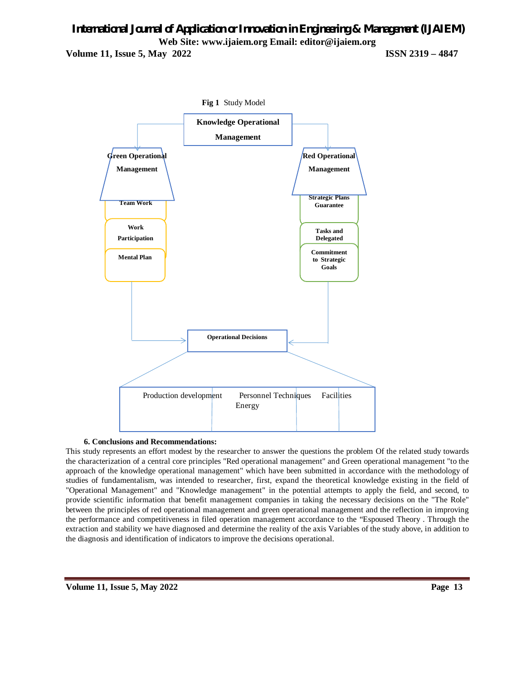# *International Journal of Application or Innovation in Engineering & Management (IJAIEM)* **Web Site: www.ijaiem.org Email: editor@ijaiem.org Volume 11, Issue 5, May 2022 ISSN 2319 – 4847**



#### **6. Conclusions and Recommendations:**

This study represents an effort modest by the researcher to answer the questions the problem Of the related study towards the characterization of a central core principles "Red operational management" and Green operational management "to the approach of the knowledge operational management" which have been submitted in accordance with the methodology of studies of fundamentalism, was intended to researcher, first, expand the theoretical knowledge existing in the field of "Operational Management" and "Knowledge management" in the potential attempts to apply the field, and second, to provide scientific information that benefit management companies in taking the necessary decisions on the "The Role" between the principles of red operational management and green operational management and the reflection in improving the performance and competitiveness in filed operation management accordance to the "Espoused Theory . Through the extraction and stability we have diagnosed and determine the reality of the axis Variables of the study above, in addition to the diagnosis and identification of indicators to improve the decisions operational.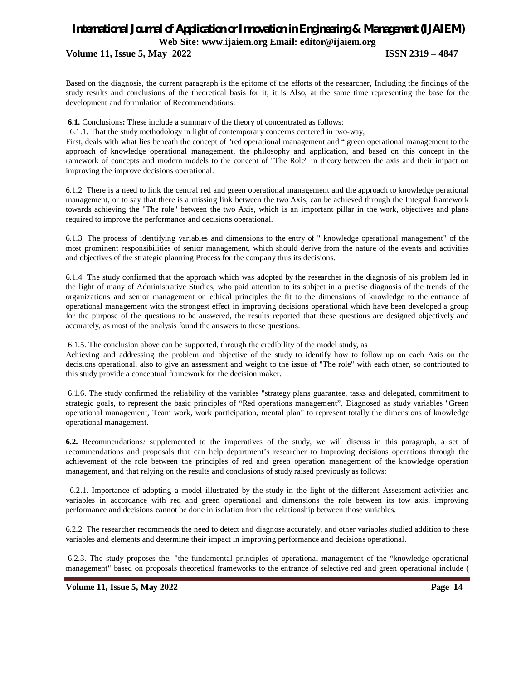# **Volume 11, Issue 5, May 2022 ISSN 2319 – 4847**

Based on the diagnosis, the current paragraph is the epitome of the efforts of the researcher, Including the findings of the study results and conclusions of the theoretical basis for it; it is Also, at the same time representing the base for the development and formulation of Recommendations:

**6.1.** Conclusions**:** These include a summary of the theory of concentrated as follows:

6.1.1. That the study methodology in light of contemporary concerns centered in two-way,

First, deals with what lies beneath the concept of "red operational management and " green operational management to the approach of knowledge operational management, the philosophy and application, and based on this concept in the ramework of concepts and modern models to the concept of "The Role" in theory between the axis and their impact on improving the improve decisions operational.

6.1.2. There is a need to link the central red and green operational management and the approach to knowledge perational management, or to say that there is a missing link between the two Axis, can be achieved through the Integral framework towards achieving the "The role" between the two Axis, which is an important pillar in the work, objectives and plans required to improve the performance and decisions operational.

6.1.3. The process of identifying variables and dimensions to the entry of " knowledge operational management" of the most prominent responsibilities of senior management, which should derive from the nature of the events and activities and objectives of the strategic planning Process for the company thus its decisions.

6.1.4. The study confirmed that the approach which was adopted by the researcher in the diagnosis of his problem led in the light of many of Administrative Studies, who paid attention to its subject in a precise diagnosis of the trends of the organizations and senior management on ethical principles the fit to the dimensions of knowledge to the entrance of operational management with the strongest effect in improving decisions operational which have been developed a group for the purpose of the questions to be answered, the results reported that these questions are designed objectively and accurately, as most of the analysis found the answers to these questions.

6.1.5. The conclusion above can be supported, through the credibility of the model study, as

Achieving and addressing the problem and objective of the study to identify how to follow up on each Axis on the decisions operational, also to give an assessment and weight to the issue of "The role" with each other, so contributed to this study provide a conceptual framework for the decision maker.

6.1.6. The study confirmed the reliability of the variables "strategy plans guarantee, tasks and delegated, commitment to strategic goals, to represent the basic principles of "Red operations management". Diagnosed as study variables "Green operational management, Team work, work participation, mental plan" to represent totally the dimensions of knowledge operational management.

**6.2.** Recommendations*:* supplemented to the imperatives of the study, we will discuss in this paragraph, a set of recommendations and proposals that can help department's researcher to Improving decisions operations through the achievement of the role between the principles of red and green operation management of the knowledge operation management, and that relying on the results and conclusions of study raised previously as follows:

 6.2.1. Importance of adopting a model illustrated by the study in the light of the different Assessment activities and variables in accordance with red and green operational and dimensions the role between its tow axis, improving performance and decisions **c**annot be done in isolation from the relationship between those variables.

6.2.2. The researcher recommends the need to detect and diagnose accurately, and other variables studied addition to these variables and elements and determine their impact in improving performance and decisions operational.

6.2.3. The study proposes the, "the fundamental principles of operational management of the "knowledge operational management" based on proposals theoretical frameworks to the entrance of selective red and green operational include (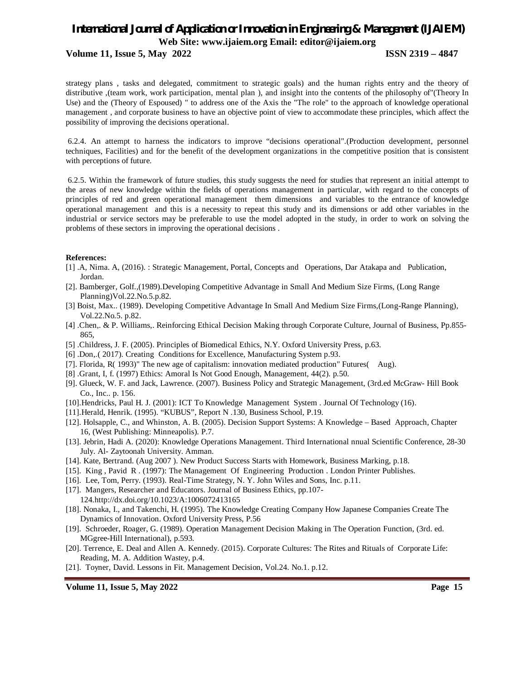#### **Volume 11, Issue 5, May 2022 ISSN 2319 – 4847**

strategy plans , tasks and delegated, commitment to strategic goals) and the human rights entry and the theory of distributive ,(team work, work participation, mental plan ), and insight into the contents of the philosophy of"(Theory In Use) and the (Theory of Espoused) " to address one of the Axis the "The role" to the approach of knowledge operational management , and corporate business to have an objective point of view to accommodate these principles, which affect the possibility of improving the decisions operational.

6.2.4. An attempt to harness the indicators to improve "decisions operational".(Production development, personnel techniques, Facilities) and for the benefit of the development organizations in the competitive position that is consistent with perceptions of future.

6.2.5. Within the framework of future studies, this study suggests the need for studies that represent an initial attempt to the areas of new knowledge within the fields of operations management in particular, with regard to the concepts of principles of red and green operational management them dimensions and variables to the entrance of knowledge operational management and this is a necessity to repeat this study and its dimensions or add other variables in the industrial or service sectors may be preferable to use the model adopted in the study, in order to work on solving the problems of these sectors in improving the operational decisions .

#### **References:**

- [1] .A, Nima. A, (2016). : Strategic Management, Portal, Concepts and Operations, Dar Atakapa and Publication, Jordan.
- [2]. Bamberger, Golf.,(1989).Developing Competitive Advantage in Small And Medium Size Firms, (Long Range Planning)Vol.22.No.5.p.82.
- [3] Boist, Max.. (1989). Developing Competitive Advantage In Small And Medium Size Firms,(Long-Range Planning), Vol.22.No.5. p.82.
- [4] .Chen,. & P. Williams,. Reinforcing Ethical Decision Making through Corporate Culture, Journal of Business, Pp.855- 865,
- [5] .Childress, J. F. (2005). Principles of Biomedical Ethics, N.Y. Oxford University Press, p.63.
- [6] .Don,.( 2017). Creating Conditions for Excellence, Manufacturing System p.93.
- [7]. Florida, R( 1993)" The new age of capitalism: innovation mediated production" Futures( Aug).
- [8] .Grant, I, f. (1997) Ethics: Amoral Is Not Good Enough, Management, 44(2). p.50.
- [9]. Glueck, W. F. and Jack, Lawrence. (2007). Business Policy and Strategic Management, (3rd.ed McGraw- Hill Book Co., Inc.. p. 156.
- [10].Hendricks, Paul H. J. (2001): ICT To Knowledge Management System . Journal Of Technology (16).
- [11].Herald, Henrik. (1995). "KUBUS", Report N .130, Business School, P.19.
- [12]. Holsapple, C., and Whinston, A. B. (2005). Decision Support Systems: A Knowledge Based Approach, Chapter 16, (West Publishing: Minneapolis). P.7.
- [13]. Jebrin, Hadi A. (2020): Knowledge Operations Management. Third International nnual Scientific Conference, 28-30 July. Al- Zaytoonah University. Amman.
- [14]. Kate, Bertrand. (Aug 2007 ). New Product Success Starts with Homework, Business Marking, p.18.
- [15]. King , Pavid R . (1997): The Management Of Engineering Production . London Printer Publishes.
- [16]. Lee, Tom, Perry. (1993). Real-Time Strategy, N. Y. John Wiles and Sons, Inc. p.11.
- [17]. Mangers, Researcher and Educators. Journal of Business Ethics, pp.107-
- 124.http://dx.doi.org/10.1023/A:1006072413165
- [18]. Nonaka, I., and Takenchi, H. (1995). The Knowledge Creating Company How Japanese Companies Create The Dynamics of Innovation. Oxford University Press, P.56
- [19]. Schroeder, Roager, G. (1989). Operation Management Decision Making in The Operation Function, (3rd. ed. MGgree-Hill International), p.593.
- [20]. Terrence, E. Deal and Allen A. Kennedy. (2015). Corporate Cultures: The Rites and Rituals of Corporate Life: Reading, M. A. Addition Wastey, p.4.
- [21]. Toyner, David. Lessons in Fit. Management Decision, Vol.24. No.1. p.12.